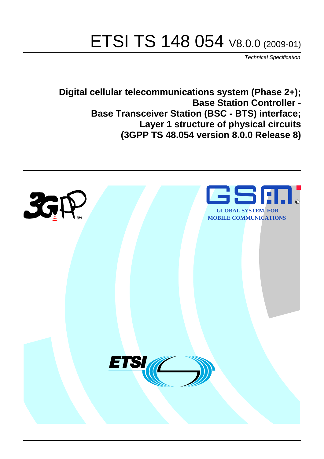# ETSI TS 148 054 V8.0.0 (2009-01)

*Technical Specification*

**Digital cellular telecommunications system (Phase 2+); Base Station Controller - Base Transceiver Station (BSC - BTS) interface; Layer 1 structure of physical circuits (3GPP TS 48.054 version 8.0.0 Release 8)**

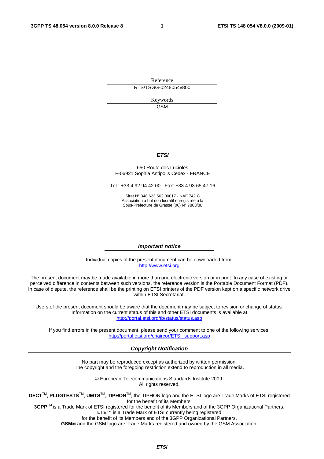Reference RTS/TSGG-0248054v800

> Keywords GSM

#### *ETSI*

#### 650 Route des Lucioles F-06921 Sophia Antipolis Cedex - FRANCE

Tel.: +33 4 92 94 42 00 Fax: +33 4 93 65 47 16

Siret N° 348 623 562 00017 - NAF 742 C Association à but non lucratif enregistrée à la Sous-Préfecture de Grasse (06) N° 7803/88

#### *Important notice*

Individual copies of the present document can be downloaded from: [http://www.etsi.org](http://www.etsi.org/)

The present document may be made available in more than one electronic version or in print. In any case of existing or perceived difference in contents between such versions, the reference version is the Portable Document Format (PDF). In case of dispute, the reference shall be the printing on ETSI printers of the PDF version kept on a specific network drive within ETSI Secretariat.

Users of the present document should be aware that the document may be subject to revision or change of status. Information on the current status of this and other ETSI documents is available at <http://portal.etsi.org/tb/status/status.asp>

If you find errors in the present document, please send your comment to one of the following services: [http://portal.etsi.org/chaircor/ETSI\\_support.asp](http://portal.etsi.org/chaircor/ETSI_support.asp)

#### *Copyright Notification*

No part may be reproduced except as authorized by written permission. The copyright and the foregoing restriction extend to reproduction in all media.

> © European Telecommunications Standards Institute 2009. All rights reserved.

**DECT**TM, **PLUGTESTS**TM, **UMTS**TM, **TIPHON**TM, the TIPHON logo and the ETSI logo are Trade Marks of ETSI registered for the benefit of its Members.

**3GPP**TM is a Trade Mark of ETSI registered for the benefit of its Members and of the 3GPP Organizational Partners. **LTE**™ is a Trade Mark of ETSI currently being registered

for the benefit of its Members and of the 3GPP Organizational Partners.

**GSM**® and the GSM logo are Trade Marks registered and owned by the GSM Association.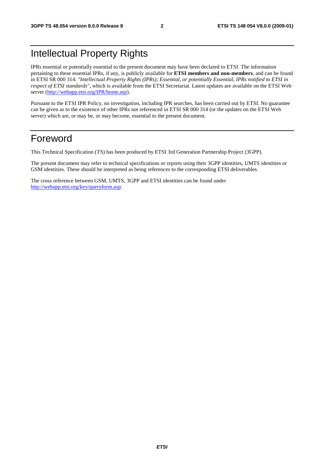# Intellectual Property Rights

IPRs essential or potentially essential to the present document may have been declared to ETSI. The information pertaining to these essential IPRs, if any, is publicly available for **ETSI members and non-members**, and can be found in ETSI SR 000 314: *"Intellectual Property Rights (IPRs); Essential, or potentially Essential, IPRs notified to ETSI in respect of ETSI standards"*, which is available from the ETSI Secretariat. Latest updates are available on the ETSI Web server ([http://webapp.etsi.org/IPR/home.asp\)](http://webapp.etsi.org/IPR/home.asp).

Pursuant to the ETSI IPR Policy, no investigation, including IPR searches, has been carried out by ETSI. No guarantee can be given as to the existence of other IPRs not referenced in ETSI SR 000 314 (or the updates on the ETSI Web server) which are, or may be, or may become, essential to the present document.

### Foreword

This Technical Specification (TS) has been produced by ETSI 3rd Generation Partnership Project (3GPP).

The present document may refer to technical specifications or reports using their 3GPP identities, UMTS identities or GSM identities. These should be interpreted as being references to the corresponding ETSI deliverables.

The cross reference between GSM, UMTS, 3GPP and ETSI identities can be found under [http://webapp.etsi.org/key/queryform.asp.](http://webapp.etsi.org/key/queryform.asp)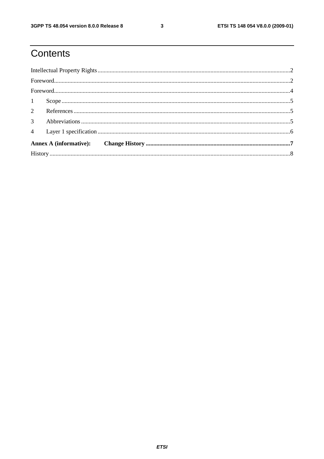# Contents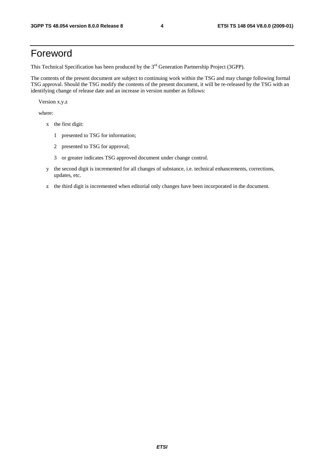## Foreword

This Technical Specification has been produced by the 3<sup>rd</sup> Generation Partnership Project (3GPP).

The contents of the present document are subject to continuing work within the TSG and may change following formal TSG approval. Should the TSG modify the contents of the present document, it will be re-released by the TSG with an identifying change of release date and an increase in version number as follows:

Version x.y.z

where:

- x the first digit:
	- 1 presented to TSG for information;
	- 2 presented to TSG for approval;
	- 3 or greater indicates TSG approved document under change control.
- y the second digit is incremented for all changes of substance, i.e. technical enhancements, corrections, updates, etc.
- z the third digit is incremented when editorial only changes have been incorporated in the document.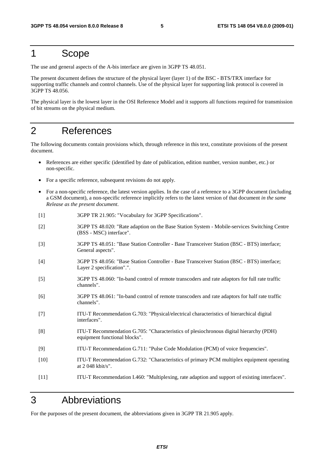## 1 Scope

The use and general aspects of the A-bis interface are given in 3GPP TS 48.051.

The present document defines the structure of the physical layer (layer 1) of the BSC - BTS/TRX interface for supporting traffic channels and control channels. Use of the physical layer for supporting link protocol is covered in 3GPP TS 48.056.

The physical layer is the lowest layer in the OSI Reference Model and it supports all functions required for transmission of bit streams on the physical medium.

## 2 References

The following documents contain provisions which, through reference in this text, constitute provisions of the present document.

- References are either specific (identified by date of publication, edition number, version number, etc.) or non-specific.
- For a specific reference, subsequent revisions do not apply.
- For a non-specific reference, the latest version applies. In the case of a reference to a 3GPP document (including a GSM document), a non-specific reference implicitly refers to the latest version of that document *in the same Release as the present document*.
- [1] 3GPP TR 21.905: "Vocabulary for 3GPP Specifications".
- [2] 3GPP TS 48.020: "Rate adaption on the Base Station System Mobile-services Switching Centre (BSS - MSC) interface".
- [3] 3GPP TS 48.051: "Base Station Controller Base Transceiver Station (BSC BTS) interface; General aspects".
- [4] 3GPP TS 48.056: "Base Station Controller Base Transceiver Station (BSC BTS) interface; Layer 2 specification".".
- [5] 3GPP TS 48.060: "In-band control of remote transcoders and rate adaptors for full rate traffic channels".
- [6] 3GPP TS 48.061: "In-band control of remote transcoders and rate adaptors for half rate traffic channels".
- [7] ITU-T Recommendation G.703: "Physical/electrical characteristics of hierarchical digital interfaces".
- [8] ITU-T Recommendation G.705: "Characteristics of plesiochronous digital hierarchy (PDH) equipment functional blocks".
- [9] ITU-T Recommendation G.711: "Pulse Code Modulation (PCM) of voice frequencies".
- [10] ITU-T Recommendation G.732: "Characteristics of primary PCM multiplex equipment operating at 2 048 kbit/s".
- [11] ITU-T Recommendation I.460: "Multiplexing, rate adaption and support of existing interfaces".

### 3 Abbreviations

For the purposes of the present document, the abbreviations given in 3GPP TR 21.905 apply.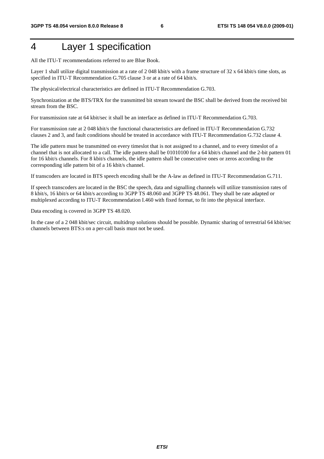# 4 Layer 1 specification

All the ITU-T recommendations referred to are Blue Book.

Layer 1 shall utilize digital transmission at a rate of 2048 kbit/s with a frame structure of 32 x 64 kbit/s time slots, as specified in ITU-T Recommendation G.705 clause 3 or at a rate of 64 kbit/s.

The physical/electrical characteristics are defined in ITU-T Recommendation G.703.

Synchronization at the BTS/TRX for the transmitted bit stream toward the BSC shall be derived from the received bit stream from the BSC.

For transmission rate at 64 kbit/sec it shall be an interface as defined in ITU-T Recommendation G.703.

For transmission rate at 2 048 kbit/s the functional characteristics are defined in ITU-T Recommendation G.732 clauses 2 and 3, and fault conditions should be treated in accordance with ITU-T Recommendation G.732 clause 4.

The idle pattern must be transmitted on every timeslot that is not assigned to a channel, and to every timeslot of a channel that is not allocated to a call. The idle pattern shall be 01010100 for a 64 kbit/s channel and the 2-bit pattern 01 for 16 kbit/s channels. For 8 kbit/s channels, the idle pattern shall be consecutive ones or zeros according to the corresponding idle pattern bit of a 16 kbit/s channel.

If transcoders are located in BTS speech encoding shall be the A-law as defined in ITU-T Recommendation G.711.

If speech transcoders are located in the BSC the speech, data and signalling channels will utilize transmission rates of 8 kbit/s, 16 kbit/s or 64 kbit/s according to 3GPP TS 48.060 and 3GPP TS 48.061. They shall be rate adapted or multiplexed according to ITU-T Recommendation I.460 with fixed format, to fit into the physical interface.

Data encoding is covered in 3GPP TS 48.020.

In the case of a 2 048 kbit/sec circuit, multidrop solutions should be possible. Dynamic sharing of terrestrial 64 kbit/sec channels between BTS:s on a per-call basis must not be used.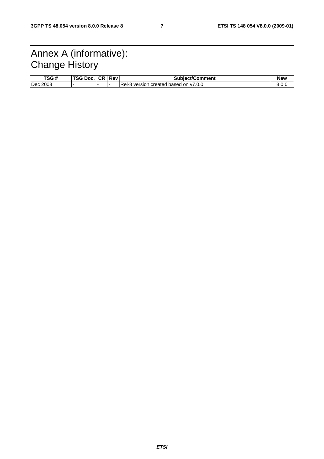# Annex A (informative): Change History

| TSG #    | TSG Doc. | CR I | Rev. | <b>Subiect/Comment</b>                             | <b>New</b> |
|----------|----------|------|------|----------------------------------------------------|------------|
| Dec 2008 |          |      |      | Rel-8<br>V7.0.0<br>created based<br>version<br>on. | 8.0.C      |